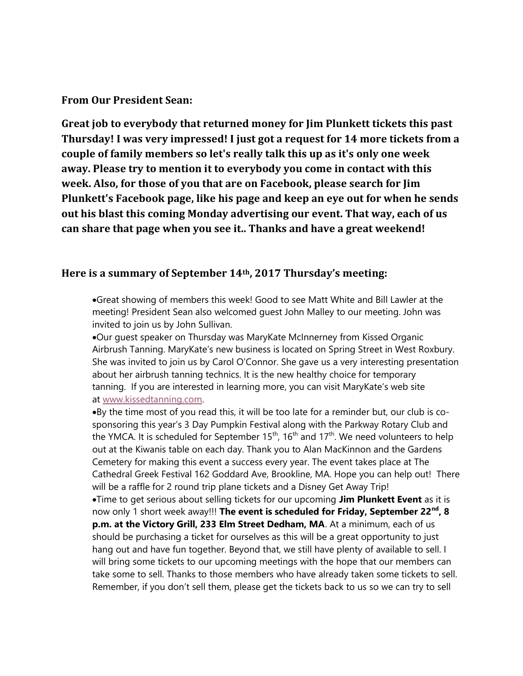## From Our President Sean:

Great job to everybody that returned money for Jim Plunkett tickets this past Thursday! I was very impressed! I just got a request for 14 more tickets from a couple of family members so let's really talk this up as it's only one week away. Please try to mention it to everybody you come in contact with this week. Also, for those of you that are on Facebook, please search for Jim Plunkett's Facebook page, like his page and keep an eye out for when he sends out his blast this coming Monday advertising our event. That way, each of us can share that page when you see it.. Thanks and have a great weekend!

## Here is a summary of September 14th, 2017 Thursday's meeting:

Great showing of members this week! Good to see Matt White and Bill Lawler at the meeting! President Sean also welcomed guest John Malley to our meeting. John was invited to join us by John Sullivan.

Our guest speaker on Thursday was MaryKate McInnerney from Kissed Organic Airbrush Tanning. MaryKate's new business is located on Spring Street in West Roxbury. She was invited to join us by Carol O'Connor. She gave us a very interesting presentation about her airbrush tanning technics. It is the new healthy choice for temporary tanning. If you are interested in learning more, you can visit MaryKate's web site at www.kissedtanning.com.

By the time most of you read this, it will be too late for a reminder but, our club is cosponsoring this year's 3 Day Pumpkin Festival along with the Parkway Rotary Club and the YMCA. It is scheduled for September  $15<sup>th</sup>$ ,  $16<sup>th</sup>$  and  $17<sup>th</sup>$ . We need volunteers to help out at the Kiwanis table on each day. Thank you to Alan MacKinnon and the Gardens Cemetery for making this event a success every year. The event takes place at The Cathedral Greek Festival 162 Goddard Ave, Brookline, MA. Hope you can help out! There will be a raffle for 2 round trip plane tickets and a Disney Get Away Trip!

•Time to get serious about selling tickets for our upcoming Jim Plunkett Event as it is now only 1 short week away!!! The event is scheduled for Friday, September 22<sup>nd</sup>, 8 p.m. at the Victory Grill, 233 Elm Street Dedham, MA. At a minimum, each of us should be purchasing a ticket for ourselves as this will be a great opportunity to just hang out and have fun together. Beyond that, we still have plenty of available to sell. I will bring some tickets to our upcoming meetings with the hope that our members can take some to sell. Thanks to those members who have already taken some tickets to sell. Remember, if you don't sell them, please get the tickets back to us so we can try to sell